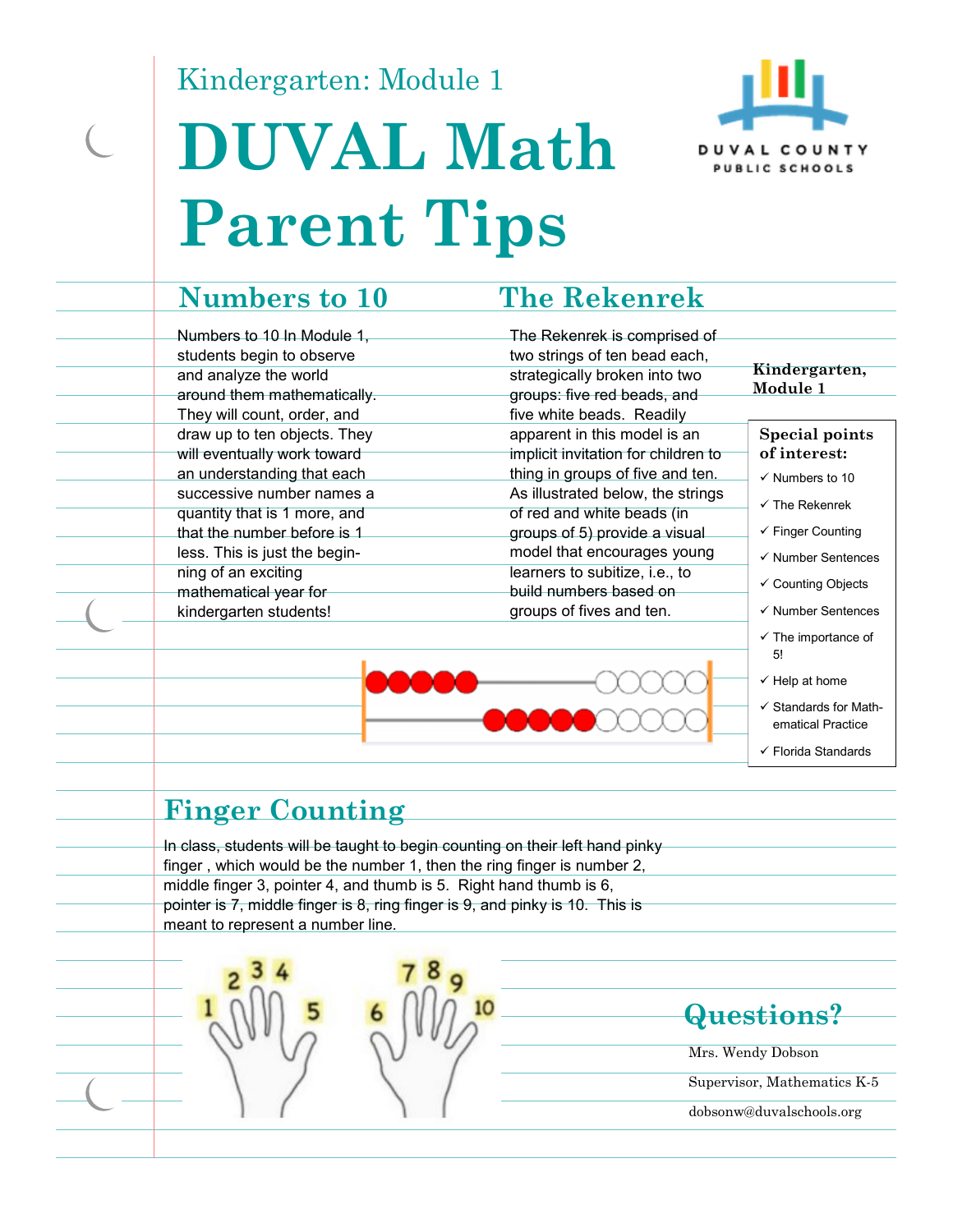Kindergarten: Module 1

# **DUVAL Math Parent Tips**



Numbers to 10 In Module 1, students begin to observe and analyze the world around them mathematically. They will count, order, and draw up to ten objects. They will eventually work toward an understanding that each successive number names a quantity that is 1 more, and that the number before is 1 less. This is just the beginning of an exciting mathematical year for kindergarten students!

#### **Numbers to 10 The Rekenrek**

The Rekenrek is comprised of two strings of ten bead each, strategically broken into two groups: five red beads, and five white beads. Readily apparent in this model is an implicit invitation for children to thing in groups of five and ten. As illustrated below, the strings of red and white beads (in groups of 5) provide a visual model that encourages young learners to subitize, i.e., to build numbers based on groups of fives and ten.

#### **Kindergarten, Module 1**

#### **Special points of interest:**

- $\checkmark$  Numbers to 10
- $\checkmark$  The Rekenrek
- $\checkmark$  Finger Counting
- $\checkmark$  Number Sentences
- Counting Objects
- $\checkmark$  Number Sentences
- $\checkmark$  The importance of 5!
- $\checkmark$  Help at home
- $\checkmark$  Standards for Mathematical Practice
- Florida Standards

#### **Finger Counting**

In class, students will be taught to begin counting on their left hand pinky finger , which would be the number 1, then the ring finger is number 2, middle finger 3, pointer 4, and thumb is 5. Right hand thumb is 6, pointer is 7, middle finger is 8, ring finger is 9, and pinky is 10. This is meant to represent a number line.



#### **Questions?**

Mrs. Wendy Dobson

Supervisor, Mathematics K-5 dobsonw@duvalschools.org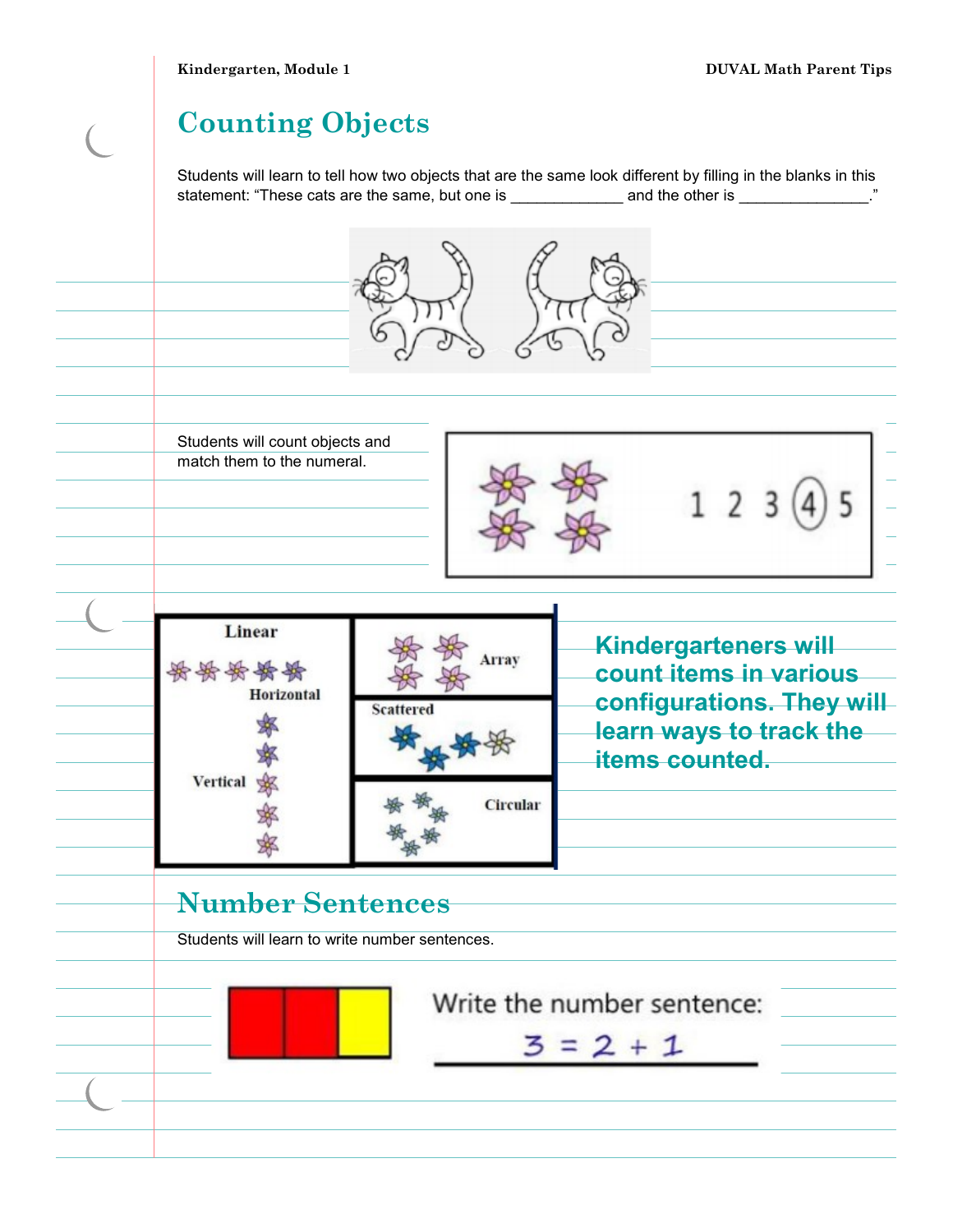**Kindergarten, Module 1 DUVAL Math Parent Tips** 

#### **Counting Objects**

Students will learn to tell how two objects that are the same look different by filling in the blanks in this statement: "These cats are the same, but one is \_\_\_\_\_\_\_\_\_\_\_\_\_\_ and the other is \_\_\_\_\_\_\_\_\_\_\_\_\_\_\_."

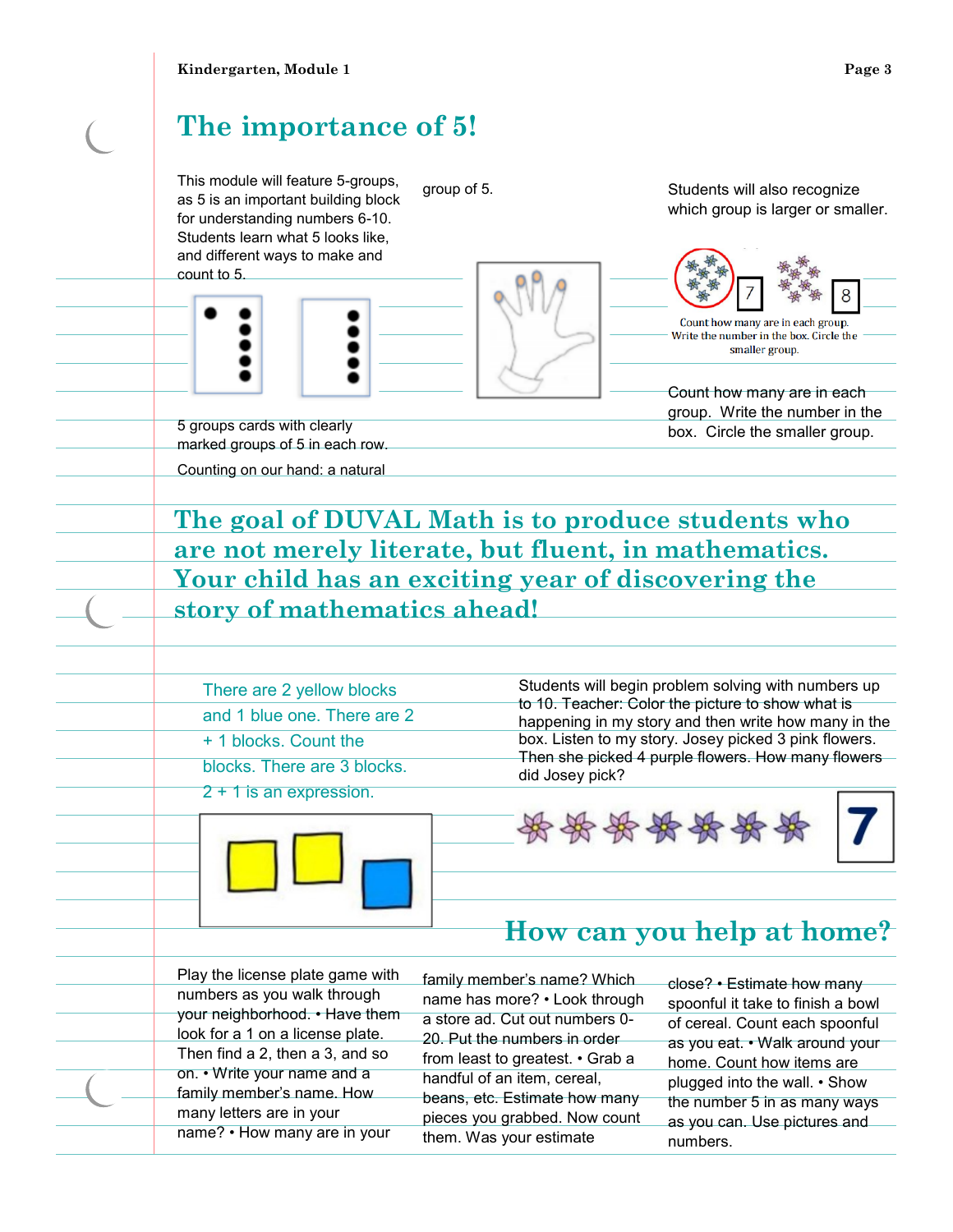## **The importance of 5!**